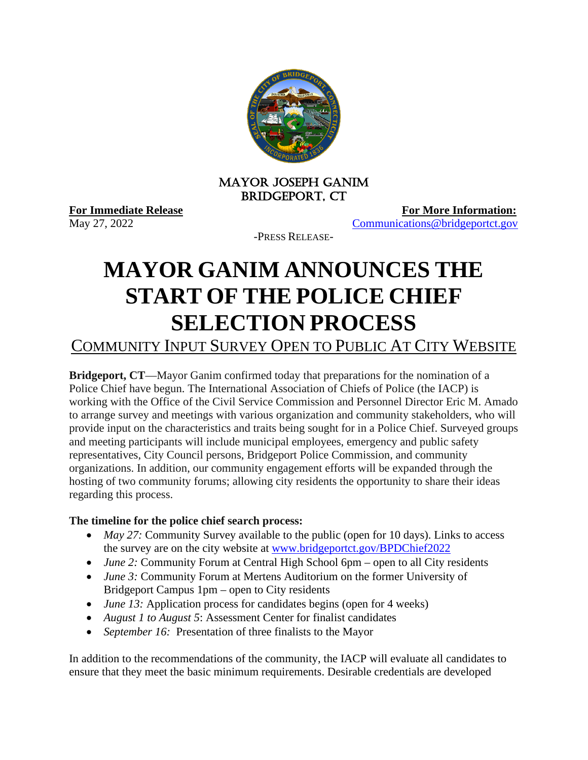

## MAYOR JOSEPH GANIM Bridgeport, CT

**For Immediate Release**<br>May 27, 2022<br>**For More Information:**<br>Communications @bridgeportct.gov [Communications@bridgeportct.gov](mailto:Communications@bridgeportct.gov)

-PRESS RELEASE-

## **MAYOR GANIM ANNOUNCES THE START OF THE POLICE CHIEF SELECTION PROCESS**

COMMUNITY INPUT SURVEY OPEN TO PUBLIC AT CITY WEBSITE

**Bridgeport, CT**—Mayor Ganim confirmed today that preparations for the nomination of a Police Chief have begun. The International Association of Chiefs of Police (the IACP) is working with the Office of the Civil Service Commission and Personnel Director Eric M. Amado to arrange survey and meetings with various organization and community stakeholders, who will provide input on the characteristics and traits being sought for in a Police Chief. Surveyed groups and meeting participants will include municipal employees, emergency and public safety representatives, City Council persons, Bridgeport Police Commission, and community organizations. In addition, our community engagement efforts will be expanded through the hosting of two community forums; allowing city residents the opportunity to share their ideas regarding this process.

## **The timeline for the police chief search process:**

- *May 27:* Community Survey available to the public (open for 10 days). Links to access the survey are on the city website at [www.bridgeportct.gov/BPDChief2022](https://gcc02.safelinks.protection.outlook.com/?url=http%3A%2F%2Fwww.bridgeportct.gov%2FBPDChief2022&data=05%7C01%7CLiridona.Egriu%40Bridgeportct.gov%7Cdd62a176377843ff4e9908da3fe1985d%7C32284bdee6854f9f9e18dc8b1c47f99f%7C1%7C0%7C637892535413539364%7CUnknown%7CTWFpbGZsb3d8eyJWIjoiMC4wLjAwMDAiLCJQIjoiV2luMzIiLCJBTiI6Ik1haWwiLCJXVCI6Mn0%3D%7C3000%7C%7C%7C&sdata=181zT4jyrGI7i5JuIIp2nRyHowxE8Ba%2BzB3DN4DgX4c%3D&reserved=0)
- *June 2:* Community Forum at Central High School 6pm open to all City residents
- *June 3:* Community Forum at Mertens Auditorium on the former University of Bridgeport Campus 1pm – open to City residents
- *June 13:* Application process for candidates begins (open for 4 weeks)
- *August 1 to August 5*: Assessment Center for finalist candidates
- *September 16:* Presentation of three finalists to the Mayor

In addition to the recommendations of the community, the IACP will evaluate all candidates to ensure that they meet the basic minimum requirements. Desirable credentials are developed